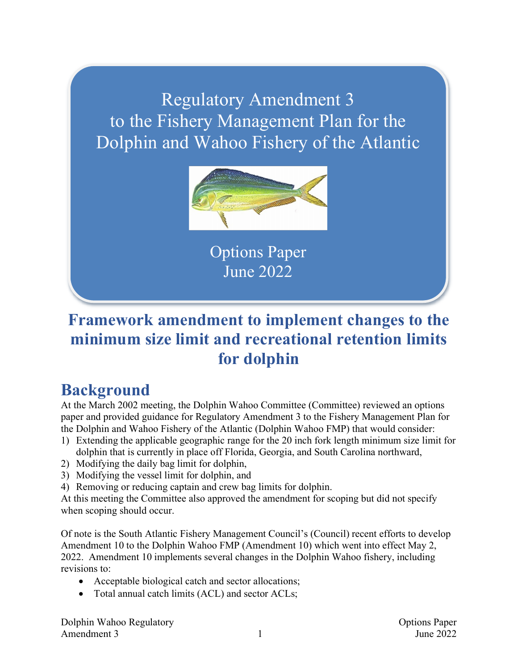## Regulatory Amendment 3 to the Fishery Management Plan for the Dolphin and Wahoo Fishery of the Atlantic



Options Paper June 2022

## **Framework amendment to implement changes to the minimum size limit and recreational retention limits for dolphin**

## **Background**

At the March 2002 meeting, the Dolphin Wahoo Committee (Committee) reviewed an options paper and provided guidance for Regulatory Amendment 3 to the Fishery Management Plan for the Dolphin and Wahoo Fishery of the Atlantic (Dolphin Wahoo FMP) that would consider:

- 1) Extending the applicable geographic range for the 20 inch fork length minimum size limit for dolphin that is currently in place off Florida, Georgia, and South Carolina northward,
- 2) Modifying the daily bag limit for dolphin,
- 3) Modifying the vessel limit for dolphin, and
- 4) Removing or reducing captain and crew bag limits for dolphin.

At this meeting the Committee also approved the amendment for scoping but did not specify when scoping should occur.

Of note is the South Atlantic Fishery Management Council's (Council) recent efforts to develop Amendment 10 to the Dolphin Wahoo FMP (Amendment 10) which went into effect May 2, 2022. Amendment 10 implements several changes in the Dolphin Wahoo fishery, including revisions to:

- Acceptable biological catch and sector allocations;
- Total annual catch limits (ACL) and sector ACLs;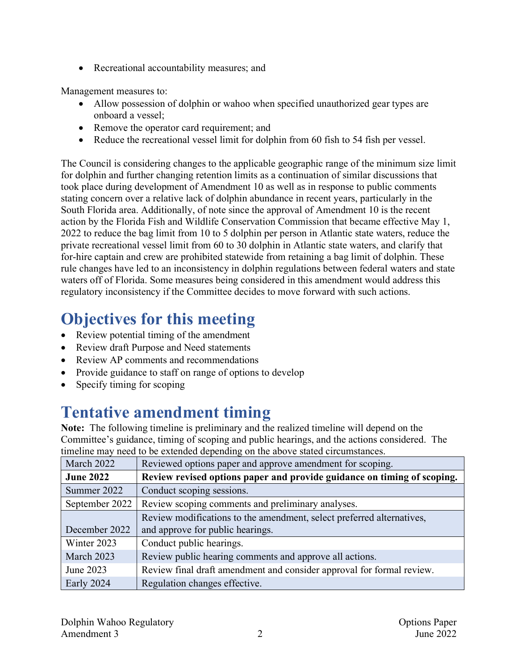• Recreational accountability measures; and

Management measures to:

- Allow possession of dolphin or wahoo when specified unauthorized gear types are onboard a vessel;
- Remove the operator card requirement; and
- Reduce the recreational vessel limit for dolphin from 60 fish to 54 fish per vessel.

The Council is considering changes to the applicable geographic range of the minimum size limit for dolphin and further changing retention limits as a continuation of similar discussions that took place during development of Amendment 10 as well as in response to public comments stating concern over a relative lack of dolphin abundance in recent years, particularly in the South Florida area. Additionally, of note since the approval of Amendment 10 is the recent action by the Florida Fish and Wildlife Conservation Commission that became effective May 1, 2022 to reduce the bag limit from 10 to 5 dolphin per person in Atlantic state waters, reduce the private recreational vessel limit from 60 to 30 dolphin in Atlantic state waters, and clarify that for-hire captain and crew are prohibited statewide from retaining a bag limit of dolphin. These rule changes have led to an inconsistency in dolphin regulations between federal waters and state waters off of Florida. Some measures being considered in this amendment would address this regulatory inconsistency if the Committee decides to move forward with such actions.

# **Objectives for this meeting**

- Review potential timing of the amendment
- Review draft Purpose and Need statements
- Review AP comments and recommendations
- Provide guidance to staff on range of options to develop
- Specify timing for scoping

# **Tentative amendment timing**

**Note:** The following timeline is preliminary and the realized timeline will depend on the Committee's guidance, timing of scoping and public hearings, and the actions considered. The timeline may need to be extended depending on the above stated circumstances.

| March 2022       | Reviewed options paper and approve amendment for scoping.               |
|------------------|-------------------------------------------------------------------------|
| <b>June 2022</b> | Review revised options paper and provide guidance on timing of scoping. |
| Summer 2022      | Conduct scoping sessions.                                               |
| September 2022   | Review scoping comments and preliminary analyses.                       |
|                  | Review modifications to the amendment, select preferred alternatives,   |
| December 2022    | and approve for public hearings.                                        |
| Winter 2023      | Conduct public hearings.                                                |
| March 2023       | Review public hearing comments and approve all actions.                 |
| June 2023        | Review final draft amendment and consider approval for formal review.   |
| Early 2024       | Regulation changes effective.                                           |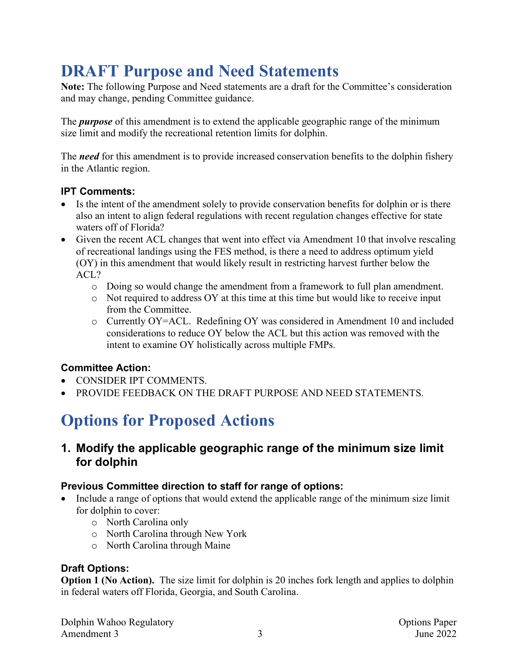## **DRAFT Purpose and Need Statements**

**Note:** The following Purpose and Need statements are a draft for the Committee's consideration and may change, pending Committee guidance.

The *purpose* of this amendment is to extend the applicable geographic range of the minimum size limit and modify the recreational retention limits for dolphin.

The *need* for this amendment is to provide increased conservation benefits to the dolphin fishery in the Atlantic region.

#### **IPT Comments:**

- Is the intent of the amendment solely to provide conservation benefits for dolphin or is there also an intent to align federal regulations with recent regulation changes effective for state waters off of Florida?
- Given the recent ACL changes that went into effect via Amendment 10 that involve rescaling of recreational landings using the FES method, is there a need to address optimum yield (OY) in this amendment that would likely result in restricting harvest further below the ACL?
	- o Doing so would change the amendment from a framework to full plan amendment.
	- o Not required to address OY at this time at this time but would like to receive input from the Committee.
	- o Currently OY=ACL. Redefining OY was considered in Amendment 10 and included considerations to reduce OY below the ACL but this action was removed with the intent to examine OY holistically across multiple FMPs.

## **Committee Action:**

- CONSIDER IPT COMMENTS.
- PROVIDE FEEDBACK ON THE DRAFT PURPOSE AND NEED STATEMENTS.

# **Options for Proposed Actions**

**1. Modify the applicable geographic range of the minimum size limit for dolphin**

## **Previous Committee direction to staff for range of options:**

- Include a range of options that would extend the applicable range of the minimum size limit for dolphin to cover:
	- o North Carolina only
	- o North Carolina through New York
	- o North Carolina through Maine

## **Draft Options:**

**Option 1 (No Action).** The size limit for dolphin is 20 inches fork length and applies to dolphin in federal waters off Florida, Georgia, and South Carolina.

Dolphin Wahoo Regulatory **Options** Paper Amendment 3 3 June 2022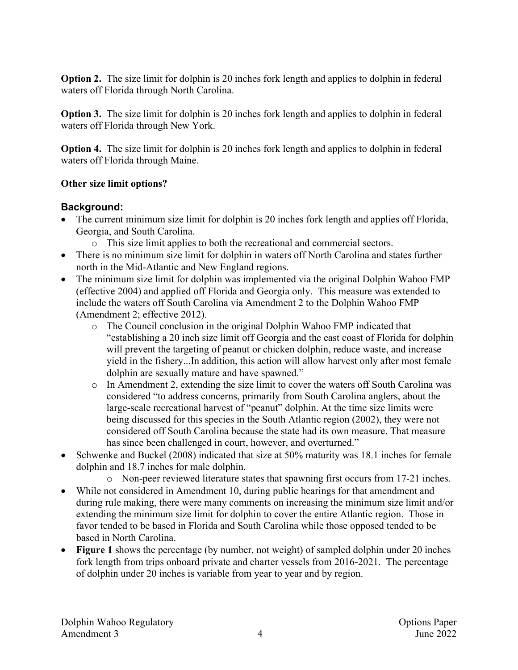**Option 2.** The size limit for dolphin is 20 inches fork length and applies to dolphin in federal waters off Florida through North Carolina.

**Option 3.** The size limit for dolphin is 20 inches fork length and applies to dolphin in federal waters off Florida through New York.

**Option 4.** The size limit for dolphin is 20 inches fork length and applies to dolphin in federal waters off Florida through Maine.

### **Other size limit options?**

### **Background:**

- The current minimum size limit for dolphin is 20 inches fork length and applies off Florida, Georgia, and South Carolina.
	- o This size limit applies to both the recreational and commercial sectors.
- There is no minimum size limit for dolphin in waters off North Carolina and states further north in the Mid-Atlantic and New England regions.
- The minimum size limit for dolphin was implemented via the original Dolphin Wahoo FMP (effective 2004) and applied off Florida and Georgia only. This measure was extended to include the waters off South Carolina via Amendment 2 to the Dolphin Wahoo FMP (Amendment 2; effective 2012).
	- o The Council conclusion in the original Dolphin Wahoo FMP indicated that "establishing a 20 inch size limit off Georgia and the east coast of Florida for dolphin will prevent the targeting of peanut or chicken dolphin, reduce waste, and increase yield in the fishery...In addition, this action will allow harvest only after most female dolphin are sexually mature and have spawned."
	- o In Amendment 2, extending the size limit to cover the waters off South Carolina was considered "to address concerns, primarily from South Carolina anglers, about the large-scale recreational harvest of "peanut" dolphin. At the time size limits were being discussed for this species in the South Atlantic region (2002), they were not considered off South Carolina because the state had its own measure. That measure has since been challenged in court, however, and overturned."
- Schwenke and Buckel (2008) indicated that size at 50% maturity was 18.1 inches for female dolphin and 18.7 inches for male dolphin.
	- o Non-peer reviewed literature states that spawning first occurs from 17-21 inches.
- While not considered in Amendment 10, during public hearings for that amendment and during rule making, there were many comments on increasing the minimum size limit and/or extending the minimum size limit for dolphin to cover the entire Atlantic region. Those in favor tended to be based in Florida and South Carolina while those opposed tended to be based in North Carolina.
- **Figure 1** shows the percentage (by number, not weight) of sampled dolphin under 20 inches fork length from trips onboard private and charter vessels from 2016-2021. The percentage of dolphin under 20 inches is variable from year to year and by region.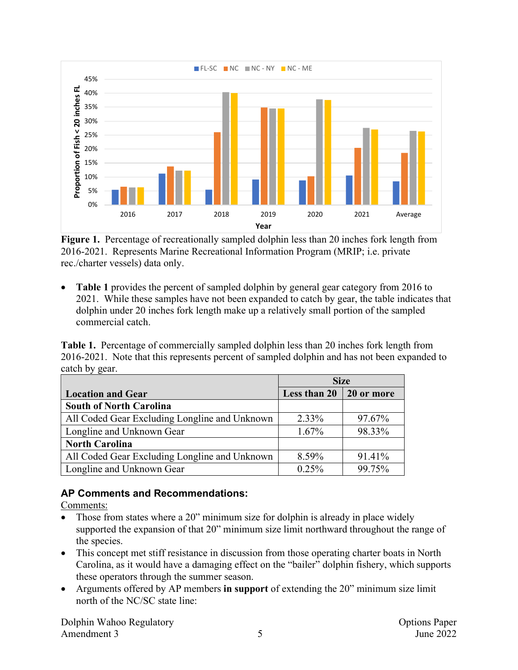

**Figure 1.** Percentage of recreationally sampled dolphin less than 20 inches fork length from 2016-2021. Represents Marine Recreational Information Program (MRIP; i.e. private rec./charter vessels) data only.

• **Table 1** provides the percent of sampled dolphin by general gear category from 2016 to 2021. While these samples have not been expanded to catch by gear, the table indicates that dolphin under 20 inches fork length make up a relatively small portion of the sampled commercial catch.

**Table 1.** Percentage of commercially sampled dolphin less than 20 inches fork length from 2016-2021. Note that this represents percent of sampled dolphin and has not been expanded to catch by gear.

|                                               | <b>Size</b>                    |        |
|-----------------------------------------------|--------------------------------|--------|
| <b>Location and Gear</b>                      | Less than $20 \mid 20$ or more |        |
| <b>South of North Carolina</b>                |                                |        |
| All Coded Gear Excluding Longline and Unknown | 2.33%                          | 97.67% |
| Longline and Unknown Gear                     | $1.67\%$                       | 98.33% |
| <b>North Carolina</b>                         |                                |        |
| All Coded Gear Excluding Longline and Unknown | 8.59%                          | 91.41% |
| Longline and Unknown Gear                     | 0.25%                          | 99.75% |

## **AP Comments and Recommendations:**

Comments:

- Those from states where a 20" minimum size for dolphin is already in place widely supported the expansion of that 20" minimum size limit northward throughout the range of the species.
- This concept met stiff resistance in discussion from those operating charter boats in North Carolina, as it would have a damaging effect on the "bailer" dolphin fishery, which supports these operators through the summer season.
- Arguments offered by AP members **in support** of extending the 20" minimum size limit north of the NC/SC state line:

Dolphin Wahoo Regulatory **Options Paper** Options Paper Amendment 3 5 June 2022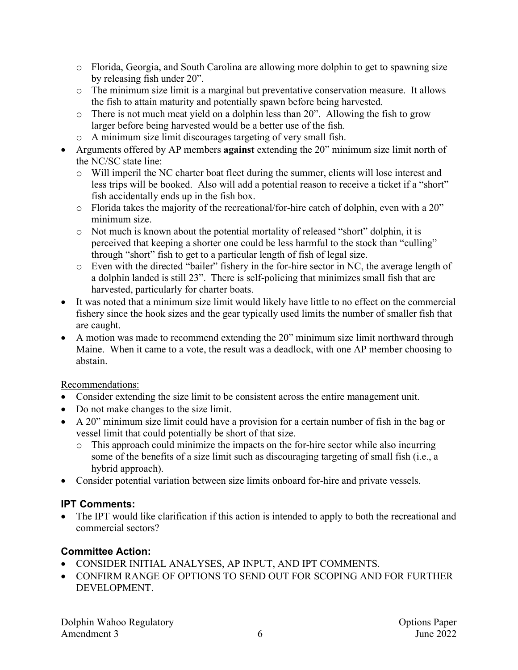- o Florida, Georgia, and South Carolina are allowing more dolphin to get to spawning size by releasing fish under 20".
- o The minimum size limit is a marginal but preventative conservation measure. It allows the fish to attain maturity and potentially spawn before being harvested.
- o There is not much meat yield on a dolphin less than 20". Allowing the fish to grow larger before being harvested would be a better use of the fish.
- o A minimum size limit discourages targeting of very small fish.
- Arguments offered by AP members **against** extending the 20" minimum size limit north of the NC/SC state line:
	- o Will imperil the NC charter boat fleet during the summer, clients will lose interest and less trips will be booked. Also will add a potential reason to receive a ticket if a "short" fish accidentally ends up in the fish box.
	- o Florida takes the majority of the recreational/for-hire catch of dolphin, even with a 20" minimum size.
	- o Not much is known about the potential mortality of released "short" dolphin, it is perceived that keeping a shorter one could be less harmful to the stock than "culling" through "short" fish to get to a particular length of fish of legal size.
	- o Even with the directed "bailer" fishery in the for-hire sector in NC, the average length of a dolphin landed is still 23". There is self-policing that minimizes small fish that are harvested, particularly for charter boats.
- It was noted that a minimum size limit would likely have little to no effect on the commercial fishery since the hook sizes and the gear typically used limits the number of smaller fish that are caught.
- A motion was made to recommend extending the 20" minimum size limit northward through Maine. When it came to a vote, the result was a deadlock, with one AP member choosing to abstain.

## Recommendations:

- Consider extending the size limit to be consistent across the entire management unit.
- Do not make changes to the size limit.
- A 20" minimum size limit could have a provision for a certain number of fish in the bag or vessel limit that could potentially be short of that size.
	- o This approach could minimize the impacts on the for-hire sector while also incurring some of the benefits of a size limit such as discouraging targeting of small fish (i.e., a hybrid approach).
- Consider potential variation between size limits onboard for-hire and private vessels.

## **IPT Comments:**

The IPT would like clarification if this action is intended to apply to both the recreational and commercial sectors?

- CONSIDER INITIAL ANALYSES, AP INPUT, AND IPT COMMENTS.
- CONFIRM RANGE OF OPTIONS TO SEND OUT FOR SCOPING AND FOR FURTHER DEVELOPMENT.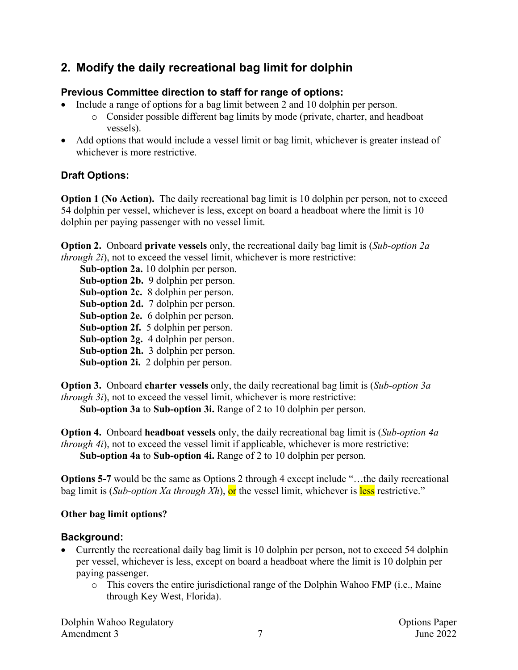## **2. Modify the daily recreational bag limit for dolphin**

## **Previous Committee direction to staff for range of options:**

- Include a range of options for a bag limit between 2 and 10 dolphin per person.
	- o Consider possible different bag limits by mode (private, charter, and headboat vessels).
- Add options that would include a vessel limit or bag limit, whichever is greater instead of whichever is more restrictive.

## **Draft Options:**

**Option 1 (No Action).** The daily recreational bag limit is 10 dolphin per person, not to exceed 54 dolphin per vessel, whichever is less, except on board a headboat where the limit is 10 dolphin per paying passenger with no vessel limit.

**Option 2.** Onboard **private vessels** only, the recreational daily bag limit is (*Sub-option 2a through 2i*), not to exceed the vessel limit, whichever is more restrictive:

**Sub-option 2a.** 10 dolphin per person. **Sub-option 2b.** 9 dolphin per person. **Sub-option 2c.** 8 dolphin per person. **Sub-option 2d.** 7 dolphin per person. **Sub-option 2e.** 6 dolphin per person. **Sub-option 2f.** 5 dolphin per person. **Sub-option 2g.** 4 dolphin per person. **Sub-option 2h.** 3 dolphin per person. **Sub-option 2i.** 2 dolphin per person.

**Option 3.** Onboard **charter vessels** only, the daily recreational bag limit is (*Sub-option 3a through 3i*), not to exceed the vessel limit, whichever is more restrictive:

**Sub-option 3a** to **Sub-option 3i.** Range of 2 to 10 dolphin per person.

**Option 4.** Onboard **headboat vessels** only, the daily recreational bag limit is (*Sub-option 4a through 4i*), not to exceed the vessel limit if applicable, whichever is more restrictive: **Sub-option 4a** to **Sub-option 4i.** Range of 2 to 10 dolphin per person.

**Options 5-7** would be the same as Options 2 through 4 except include "...the daily recreational bag limit is (*Sub-option Xa through Xh*), or the vessel limit, whichever is less restrictive."

## **Other bag limit options?**

## **Background:**

- Currently the recreational daily bag limit is 10 dolphin per person, not to exceed 54 dolphin per vessel, whichever is less, except on board a headboat where the limit is 10 dolphin per paying passenger.
	- o This covers the entire jurisdictional range of the Dolphin Wahoo FMP (i.e., Maine through Key West, Florida).

Dolphin Wahoo Regulatory **Options Paper** Options Paper Amendment 3 3 2022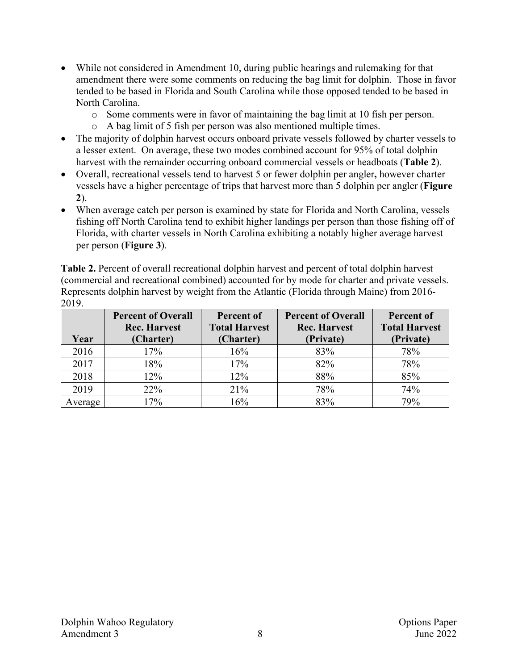- While not considered in Amendment 10, during public hearings and rulemaking for that amendment there were some comments on reducing the bag limit for dolphin. Those in favor tended to be based in Florida and South Carolina while those opposed tended to be based in North Carolina.
	- o Some comments were in favor of maintaining the bag limit at 10 fish per person.
	- o A bag limit of 5 fish per person was also mentioned multiple times.
- The majority of dolphin harvest occurs onboard private vessels followed by charter vessels to a lesser extent. On average, these two modes combined account for 95% of total dolphin harvest with the remainder occurring onboard commercial vessels or headboats (**Table 2**).
- Overall, recreational vessels tend to harvest 5 or fewer dolphin per angler**,** however charter vessels have a higher percentage of trips that harvest more than 5 dolphin per angler (**Figure 2**).
- When average catch per person is examined by state for Florida and North Carolina, vessels fishing off North Carolina tend to exhibit higher landings per person than those fishing off of Florida, with charter vessels in North Carolina exhibiting a notably higher average harvest per person (**Figure 3**).

**Table 2.** Percent of overall recreational dolphin harvest and percent of total dolphin harvest (commercial and recreational combined) accounted for by mode for charter and private vessels. Represents dolphin harvest by weight from the Atlantic (Florida through Maine) from 2016- 2019.

|         | <b>Percent of Overall</b> | Percent of           | <b>Percent of Overall</b> | <b>Percent of</b>    |
|---------|---------------------------|----------------------|---------------------------|----------------------|
|         | <b>Rec. Harvest</b>       | <b>Total Harvest</b> | <b>Rec. Harvest</b>       | <b>Total Harvest</b> |
| Year    | (Charter)                 | (Charter)            | (Private)                 | (Private)            |
| 2016    | 17%                       | 16%                  | 83%                       | 78%                  |
| 2017    | 18%                       | 17%                  | 82%                       | 78%                  |
| 2018    | 12%                       | 12%                  | 88%                       | 85%                  |
| 2019    | 22%                       | 21%                  | 78%                       | 74%                  |
| Average | 17%                       | 16%                  | 83%                       | 79%                  |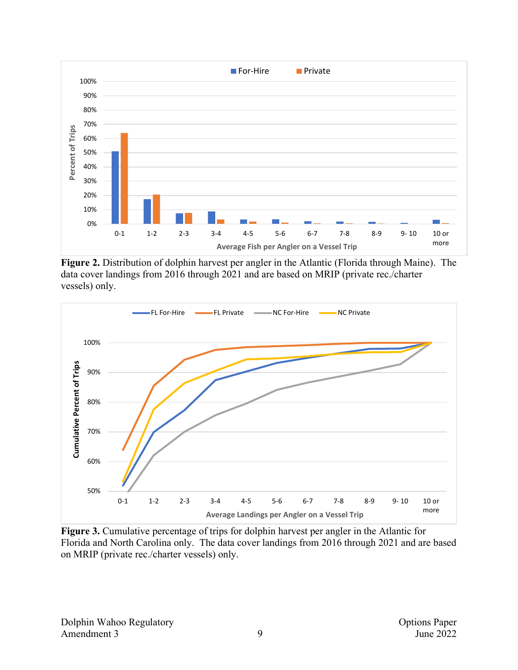

**Figure 2.** Distribution of dolphin harvest per angler in the Atlantic (Florida through Maine). The data cover landings from 2016 through 2021 and are based on MRIP (private rec./charter vessels) only.



**Figure 3.** Cumulative percentage of trips for dolphin harvest per angler in the Atlantic for Florida and North Carolina only. The data cover landings from 2016 through 2021 and are based on MRIP (private rec./charter vessels) only.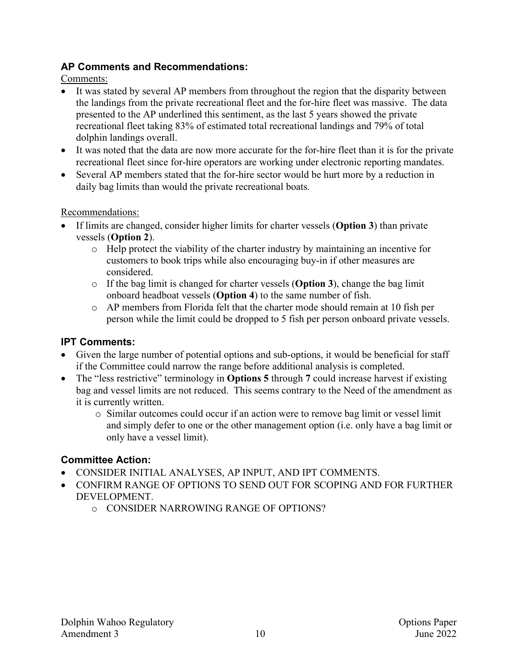#### **AP Comments and Recommendations:**

Comments:

- It was stated by several AP members from throughout the region that the disparity between the landings from the private recreational fleet and the for-hire fleet was massive. The data presented to the AP underlined this sentiment, as the last 5 years showed the private recreational fleet taking 83% of estimated total recreational landings and 79% of total dolphin landings overall.
- It was noted that the data are now more accurate for the for-hire fleet than it is for the private recreational fleet since for-hire operators are working under electronic reporting mandates.
- Several AP members stated that the for-hire sector would be hurt more by a reduction in daily bag limits than would the private recreational boats.

### Recommendations:

- If limits are changed, consider higher limits for charter vessels (**Option 3**) than private vessels (**Option 2**).
	- o Help protect the viability of the charter industry by maintaining an incentive for customers to book trips while also encouraging buy-in if other measures are considered.
	- o If the bag limit is changed for charter vessels (**Option 3**), change the bag limit onboard headboat vessels (**Option 4**) to the same number of fish.
	- o AP members from Florida felt that the charter mode should remain at 10 fish per person while the limit could be dropped to 5 fish per person onboard private vessels.

## **IPT Comments:**

- Given the large number of potential options and sub-options, it would be beneficial for staff if the Committee could narrow the range before additional analysis is completed.
- The "less restrictive" terminology in **Options 5** through 7 could increase harvest if existing bag and vessel limits are not reduced. This seems contrary to the Need of the amendment as it is currently written.
	- o Similar outcomes could occur if an action were to remove bag limit or vessel limit and simply defer to one or the other management option (i.e. only have a bag limit or only have a vessel limit).

- CONSIDER INITIAL ANALYSES, AP INPUT, AND IPT COMMENTS.
- CONFIRM RANGE OF OPTIONS TO SEND OUT FOR SCOPING AND FOR FURTHER DEVELOPMENT.
	- o CONSIDER NARROWING RANGE OF OPTIONS?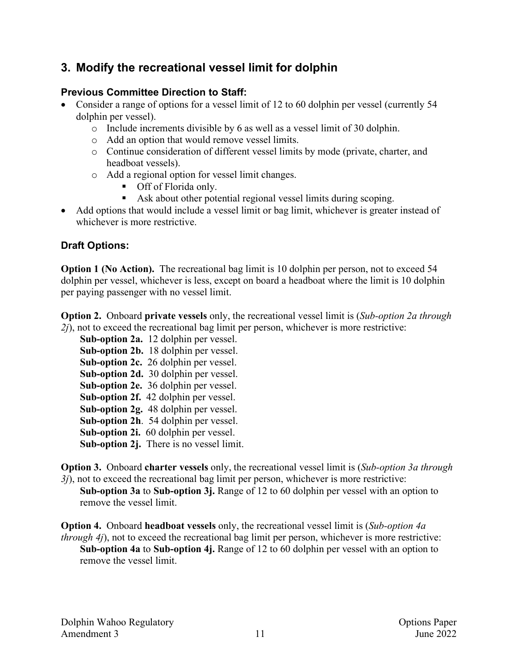## **3. Modify the recreational vessel limit for dolphin**

### **Previous Committee Direction to Staff:**

- Consider a range of options for a vessel limit of 12 to 60 dolphin per vessel (currently 54 dolphin per vessel).
	- o Include increments divisible by 6 as well as a vessel limit of 30 dolphin.
	- o Add an option that would remove vessel limits.
	- o Continue consideration of different vessel limits by mode (private, charter, and headboat vessels).
	- o Add a regional option for vessel limit changes.
		- Off of Florida only.
		- Ask about other potential regional vessel limits during scoping.
- Add options that would include a vessel limit or bag limit, whichever is greater instead of whichever is more restrictive.

## **Draft Options:**

**Option 1 (No Action).** The recreational bag limit is 10 dolphin per person, not to exceed 54 dolphin per vessel, whichever is less, except on board a headboat where the limit is 10 dolphin per paying passenger with no vessel limit.

**Option 2.** Onboard **private vessels** only, the recreational vessel limit is (*Sub-option 2a through 2j*), not to exceed the recreational bag limit per person, whichever is more restrictive:

**Sub-option 2a.** 12 dolphin per vessel. **Sub-option 2b.** 18 dolphin per vessel. **Sub-option 2c.** 26 dolphin per vessel. **Sub-option 2d.** 30 dolphin per vessel. **Sub-option 2e.** 36 dolphin per vessel. **Sub-option 2f.** 42 dolphin per vessel. **Sub-option 2g.** 48 dolphin per vessel. **Sub-option 2h**. 54 dolphin per vessel. **Sub-option 2i.** 60 dolphin per vessel. **Sub-option 2j.** There is no vessel limit.

**Option 3.** Onboard **charter vessels** only, the recreational vessel limit is (*Sub-option 3a through 3j*), not to exceed the recreational bag limit per person, whichever is more restrictive:

**Sub-option 3a** to **Sub-option 3j.** Range of 12 to 60 dolphin per vessel with an option to remove the vessel limit.

**Option 4.** Onboard **headboat vessels** only, the recreational vessel limit is (*Sub-option 4a through 4j*), not to exceed the recreational bag limit per person, whichever is more restrictive: **Sub-option 4a** to **Sub-option 4j.** Range of 12 to 60 dolphin per vessel with an option to remove the vessel limit.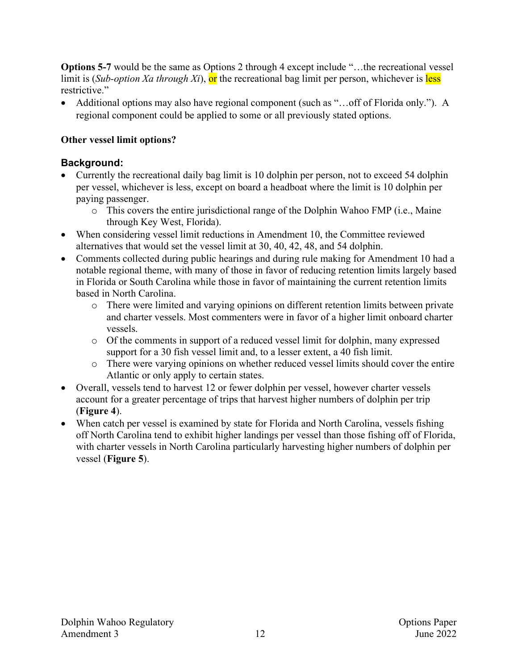**Options 5-7** would be the same as Options 2 through 4 except include "...the recreational vessel limit is (*Sub-option Xa through Xi*), or the recreational bag limit per person, whichever is less restrictive."

• Additional options may also have regional component (such as "...off of Florida only."). A regional component could be applied to some or all previously stated options.

### **Other vessel limit options?**

### **Background:**

- Currently the recreational daily bag limit is 10 dolphin per person, not to exceed 54 dolphin per vessel, whichever is less, except on board a headboat where the limit is 10 dolphin per paying passenger.
	- o This covers the entire jurisdictional range of the Dolphin Wahoo FMP (i.e., Maine through Key West, Florida).
- When considering vessel limit reductions in Amendment 10, the Committee reviewed alternatives that would set the vessel limit at 30, 40, 42, 48, and 54 dolphin.
- Comments collected during public hearings and during rule making for Amendment 10 had a notable regional theme, with many of those in favor of reducing retention limits largely based in Florida or South Carolina while those in favor of maintaining the current retention limits based in North Carolina.
	- o There were limited and varying opinions on different retention limits between private and charter vessels. Most commenters were in favor of a higher limit onboard charter vessels.
	- o Of the comments in support of a reduced vessel limit for dolphin, many expressed support for a 30 fish vessel limit and, to a lesser extent, a 40 fish limit.
	- o There were varying opinions on whether reduced vessel limits should cover the entire Atlantic or only apply to certain states.
- Overall, vessels tend to harvest 12 or fewer dolphin per vessel, however charter vessels account for a greater percentage of trips that harvest higher numbers of dolphin per trip (**Figure 4**).
- When catch per vessel is examined by state for Florida and North Carolina, vessels fishing off North Carolina tend to exhibit higher landings per vessel than those fishing off of Florida, with charter vessels in North Carolina particularly harvesting higher numbers of dolphin per vessel (**Figure 5**).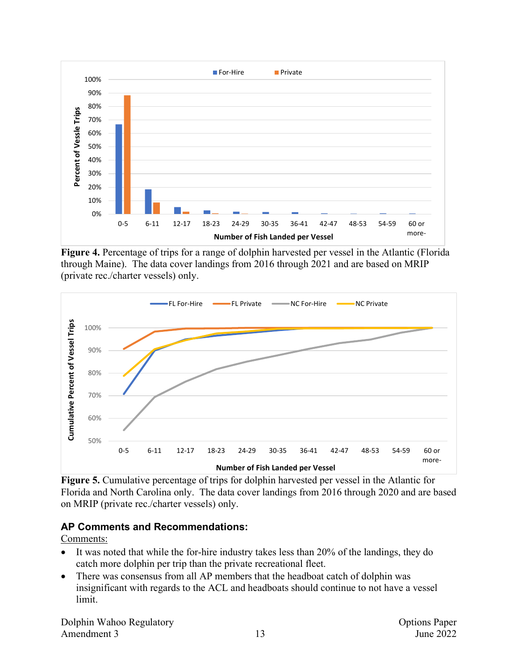

**Figure 4.** Percentage of trips for a range of dolphin harvested per vessel in the Atlantic (Florida through Maine). The data cover landings from 2016 through 2021 and are based on MRIP (private rec./charter vessels) only.



**Figure 5.** Cumulative percentage of trips for dolphin harvested per vessel in the Atlantic for Florida and North Carolina only. The data cover landings from 2016 through 2020 and are based on MRIP (private rec./charter vessels) only.

#### **AP Comments and Recommendations:**

Comments:

- It was noted that while the for-hire industry takes less than 20% of the landings, they do catch more dolphin per trip than the private recreational fleet.
- There was consensus from all AP members that the headboat catch of dolphin was insignificant with regards to the ACL and headboats should continue to not have a vessel limit.

Dolphin Wahoo Regulatory **Options** Paper Amendment 3 13 June 2022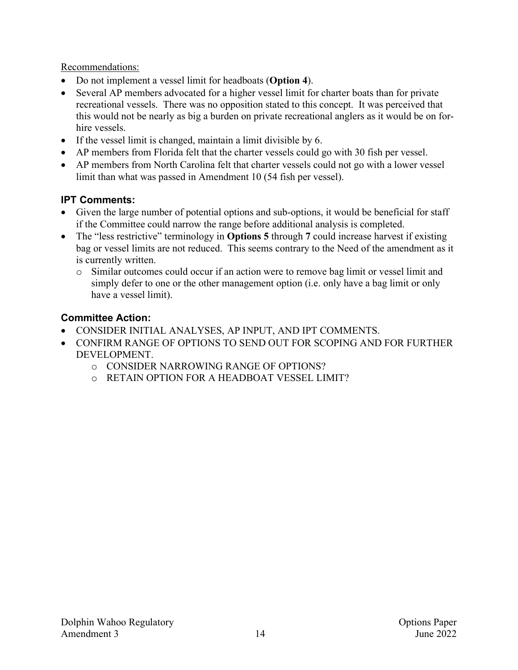Recommendations:

- Do not implement a vessel limit for headboats (**Option 4**).
- Several AP members advocated for a higher vessel limit for charter boats than for private recreational vessels. There was no opposition stated to this concept. It was perceived that this would not be nearly as big a burden on private recreational anglers as it would be on forhire vessels.
- If the vessel limit is changed, maintain a limit divisible by 6.
- AP members from Florida felt that the charter vessels could go with 30 fish per vessel.
- AP members from North Carolina felt that charter vessels could not go with a lower vessel limit than what was passed in Amendment 10 (54 fish per vessel).

## **IPT Comments:**

- Given the large number of potential options and sub-options, it would be beneficial for staff if the Committee could narrow the range before additional analysis is completed.
- The "less restrictive" terminology in **Options 5** through **7** could increase harvest if existing bag or vessel limits are not reduced. This seems contrary to the Need of the amendment as it is currently written.
	- o Similar outcomes could occur if an action were to remove bag limit or vessel limit and simply defer to one or the other management option (i.e. only have a bag limit or only have a vessel limit).

- CONSIDER INITIAL ANALYSES, AP INPUT, AND IPT COMMENTS.
- CONFIRM RANGE OF OPTIONS TO SEND OUT FOR SCOPING AND FOR FURTHER DEVELOPMENT.
	- o CONSIDER NARROWING RANGE OF OPTIONS?
	- o RETAIN OPTION FOR A HEADBOAT VESSEL LIMIT?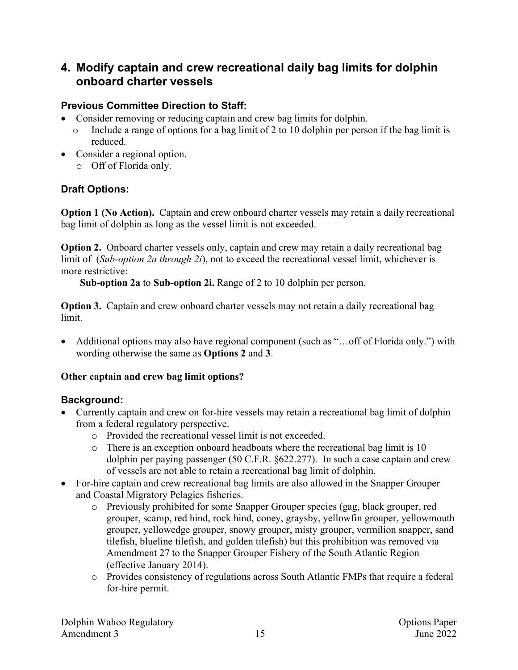## **4. Modify captain and crew recreational daily bag limits for dolphin onboard charter vessels**

## **Previous Committee Direction to Staff:**

- Consider removing or reducing captain and crew bag limits for dolphin.
	- o Include a range of options for a bag limit of 2 to 10 dolphin per person if the bag limit is reduced.
- Consider a regional option.
	- o Off of Florida only.

## **Draft Options:**

**Option 1 (No Action).** Captain and crew onboard charter vessels may retain a daily recreational bag limit of dolphin as long as the vessel limit is not exceeded.

**Option 2.** Onboard charter vessels only, captain and crew may retain a daily recreational bag limit of (*Sub-option 2a through 2i*), not to exceed the recreational vessel limit, whichever is more restrictive:

**Sub-option 2a** to **Sub-option 2i.** Range of 2 to 10 dolphin per person.

**Option 3.** Captain and crew onboard charter vessels may not retain a daily recreational bag limit.

• Additional options may also have regional component (such as "... off of Florida only.") with wording otherwise the same as **Options 2** and **3**.

## **Other captain and crew bag limit options?**

## **Background:**

- Currently captain and crew on for-hire vessels may retain a recreational bag limit of dolphin from a federal regulatory perspective.
	- o Provided the recreational vessel limit is not exceeded.
	- o There is an exception onboard headboats where the recreational bag limit is 10 dolphin per paying passenger (50 C.F.R. §622.277). In such a case captain and crew of vessels are not able to retain a recreational bag limit of dolphin.
- For-hire captain and crew recreational bag limits are also allowed in the Snapper Grouper and Coastal Migratory Pelagics fisheries.
	- o Previously prohibited for some Snapper Grouper species (gag, black grouper, red grouper, scamp, red hind, rock hind, coney, graysby, yellowfin grouper, yellowmouth grouper, yellowedge grouper, snowy grouper, misty grouper, vermilion snapper, sand tilefish, blueline tilefish, and golden tilefish) but this prohibition was removed via Amendment 27 to the Snapper Grouper Fishery of the South Atlantic Region (effective January 2014).
	- o Provides consistency of regulations across South Atlantic FMPs that require a federal for-hire permit.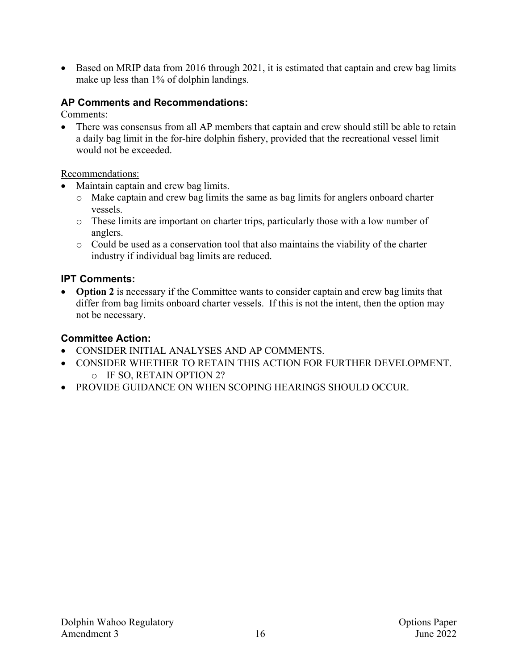• Based on MRIP data from 2016 through 2021, it is estimated that captain and crew bag limits make up less than 1% of dolphin landings.

### **AP Comments and Recommendations:**

Comments:

• There was consensus from all AP members that captain and crew should still be able to retain a daily bag limit in the for-hire dolphin fishery, provided that the recreational vessel limit would not be exceeded.

#### Recommendations:

- Maintain captain and crew bag limits.
	- o Make captain and crew bag limits the same as bag limits for anglers onboard charter vessels.
	- o These limits are important on charter trips, particularly those with a low number of anglers.
	- o Could be used as a conservation tool that also maintains the viability of the charter industry if individual bag limits are reduced.

### **IPT Comments:**

• **Option 2** is necessary if the Committee wants to consider captain and crew bag limits that differ from bag limits onboard charter vessels. If this is not the intent, then the option may not be necessary.

- CONSIDER INITIAL ANALYSES AND AP COMMENTS.
- CONSIDER WHETHER TO RETAIN THIS ACTION FOR FURTHER DEVELOPMENT. o IF SO, RETAIN OPTION 2?
- PROVIDE GUIDANCE ON WHEN SCOPING HEARINGS SHOULD OCCUR.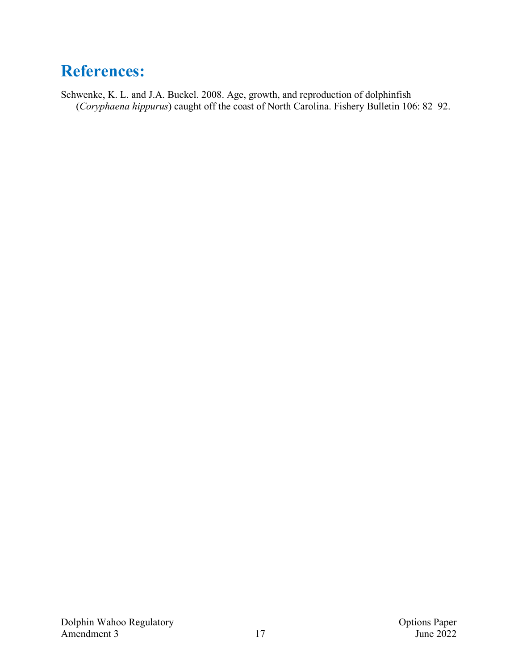## **References:**

Schwenke, K. L. and J.A. Buckel. 2008. Age, growth, and reproduction of dolphinfish (*Coryphaena hippurus*) caught off the coast of North Carolina. Fishery Bulletin 106: 82–92.